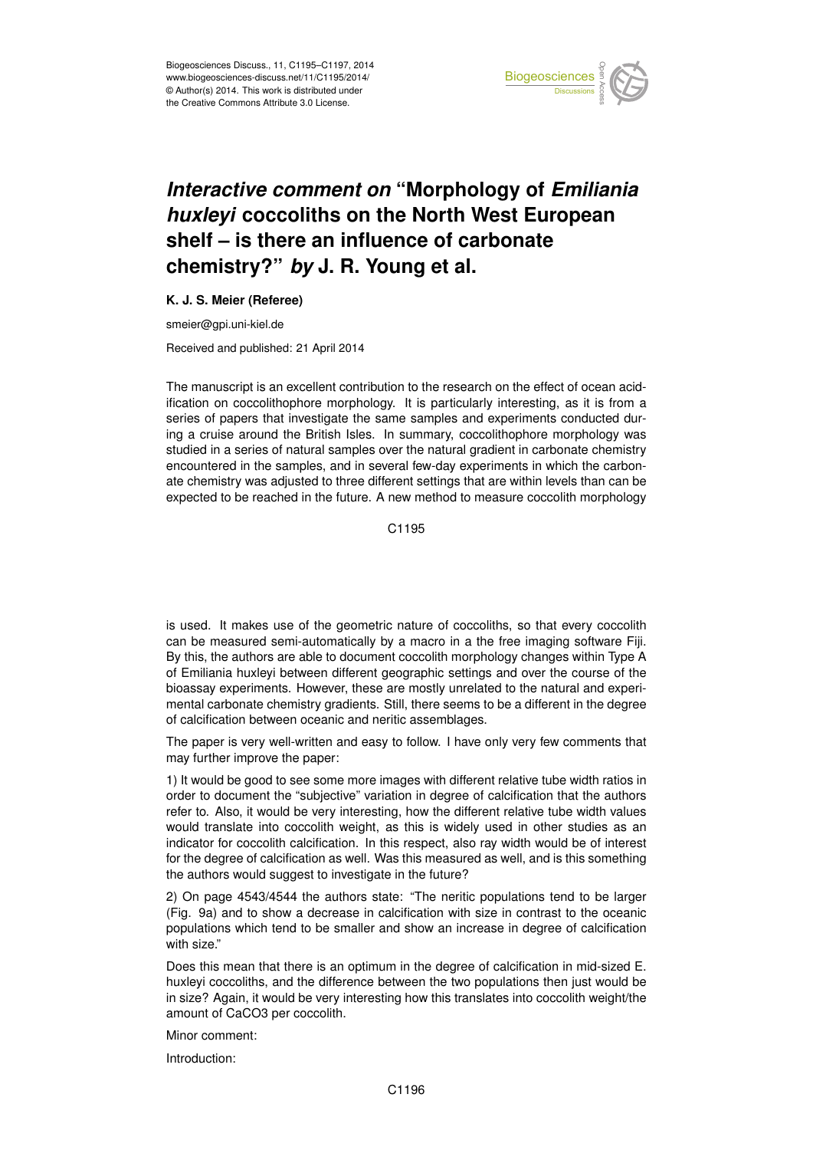

## *Interactive comment on* **"Morphology of** *Emiliania huxleyi* **coccoliths on the North West European shelf – is there an influence of carbonate chemistry?"** *by* **J. R. Young et al.**

## **K. J. S. Meier (Referee)**

smeier@gpi.uni-kiel.de

Received and published: 21 April 2014

The manuscript is an excellent contribution to the research on the effect of ocean acidification on coccolithophore morphology. It is particularly interesting, as it is from a series of papers that investigate the same samples and experiments conducted during a cruise around the British Isles. In summary, coccolithophore morphology was studied in a series of natural samples over the natural gradient in carbonate chemistry encountered in the samples, and in several few-day experiments in which the carbonate chemistry was adjusted to three different settings that are within levels than can be expected to be reached in the future. A new method to measure coccolith morphology

C<sub>1195</sub>

is used. It makes use of the geometric nature of coccoliths, so that every coccolith can be measured semi-automatically by a macro in a the free imaging software Fiji. By this, the authors are able to document coccolith morphology changes within Type A of Emiliania huxleyi between different geographic settings and over the course of the bioassay experiments. However, these are mostly unrelated to the natural and experimental carbonate chemistry gradients. Still, there seems to be a different in the degree of calcification between oceanic and neritic assemblages.

The paper is very well-written and easy to follow. I have only very few comments that may further improve the paper:

1) It would be good to see some more images with different relative tube width ratios in order to document the "subjective" variation in degree of calcification that the authors refer to. Also, it would be very interesting, how the different relative tube width values would translate into coccolith weight, as this is widely used in other studies as an indicator for coccolith calcification. In this respect, also ray width would be of interest for the degree of calcification as well. Was this measured as well, and is this something the authors would suggest to investigate in the future?

2) On page 4543/4544 the authors state: "The neritic populations tend to be larger (Fig. 9a) and to show a decrease in calcification with size in contrast to the oceanic populations which tend to be smaller and show an increase in degree of calcification with size."

Does this mean that there is an optimum in the degree of calcification in mid-sized E. huxleyi coccoliths, and the difference between the two populations then just would be in size? Again, it would be very interesting how this translates into coccolith weight/the amount of CaCO3 per coccolith.

Minor comment:

Introduction: